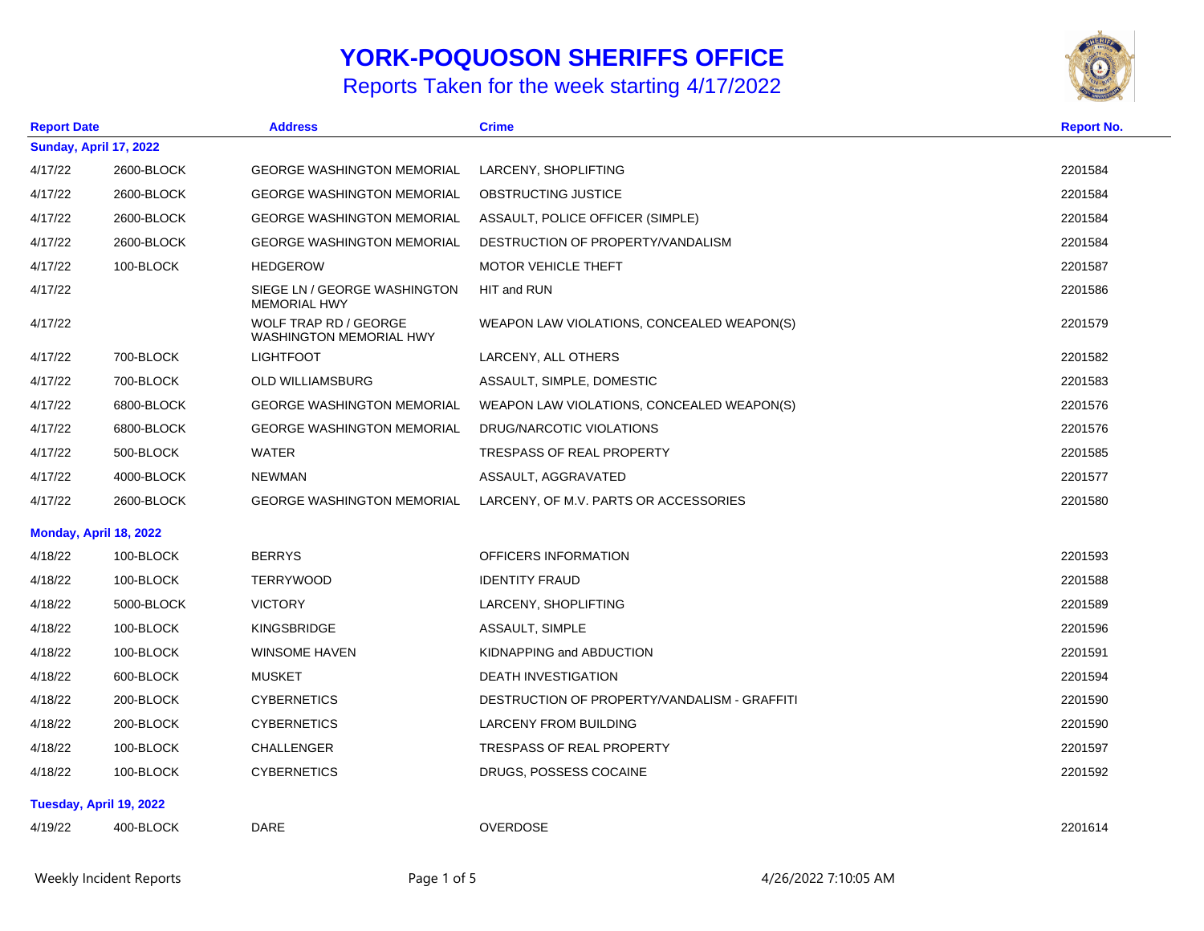## **YORK-POQUOSON SHERIFFS OFFICE**

## Reports Taken for the week starting 4/17/2022



| <b>Report Date</b>     |                               | <b>Address</b>                                                 | <b>Crime</b>                                 | <b>Report No.</b> |  |
|------------------------|-------------------------------|----------------------------------------------------------------|----------------------------------------------|-------------------|--|
|                        | <b>Sunday, April 17, 2022</b> |                                                                |                                              |                   |  |
| 4/17/22                | 2600-BLOCK                    | <b>GEORGE WASHINGTON MEMORIAL</b>                              | LARCENY, SHOPLIFTING                         | 2201584           |  |
| 4/17/22                | 2600-BLOCK                    | <b>GEORGE WASHINGTON MEMORIAL</b>                              | OBSTRUCTING JUSTICE                          | 2201584           |  |
| 4/17/22                | 2600-BLOCK                    | <b>GEORGE WASHINGTON MEMORIAL</b>                              | ASSAULT, POLICE OFFICER (SIMPLE)             | 2201584           |  |
| 4/17/22                | 2600-BLOCK                    | <b>GEORGE WASHINGTON MEMORIAL</b>                              | DESTRUCTION OF PROPERTY/VANDALISM            | 2201584           |  |
| 4/17/22                | 100-BLOCK                     | <b>HEDGEROW</b>                                                | MOTOR VEHICLE THEFT                          | 2201587           |  |
| 4/17/22                |                               | SIEGE LN / GEORGE WASHINGTON<br><b>MEMORIAL HWY</b>            | HIT and RUN                                  | 2201586           |  |
| 4/17/22                |                               | <b>WOLF TRAP RD / GEORGE</b><br><b>WASHINGTON MEMORIAL HWY</b> | WEAPON LAW VIOLATIONS, CONCEALED WEAPON(S)   | 2201579           |  |
| 4/17/22                | 700-BLOCK                     | <b>LIGHTFOOT</b>                                               | LARCENY, ALL OTHERS                          | 2201582           |  |
| 4/17/22                | 700-BLOCK                     | <b>OLD WILLIAMSBURG</b>                                        | ASSAULT, SIMPLE, DOMESTIC                    | 2201583           |  |
| 4/17/22                | 6800-BLOCK                    | <b>GEORGE WASHINGTON MEMORIAL</b>                              | WEAPON LAW VIOLATIONS, CONCEALED WEAPON(S)   | 2201576           |  |
| 4/17/22                | 6800-BLOCK                    | <b>GEORGE WASHINGTON MEMORIAL</b>                              | DRUG/NARCOTIC VIOLATIONS                     | 2201576           |  |
| 4/17/22                | 500-BLOCK                     | <b>WATER</b>                                                   | <b>TRESPASS OF REAL PROPERTY</b>             | 2201585           |  |
| 4/17/22                | 4000-BLOCK                    | <b>NEWMAN</b>                                                  | ASSAULT, AGGRAVATED                          | 2201577           |  |
| 4/17/22                | 2600-BLOCK                    | <b>GEORGE WASHINGTON MEMORIAL</b>                              | LARCENY, OF M.V. PARTS OR ACCESSORIES        | 2201580           |  |
| Monday, April 18, 2022 |                               |                                                                |                                              |                   |  |
| 4/18/22                | 100-BLOCK                     | <b>BERRYS</b>                                                  | OFFICERS INFORMATION                         | 2201593           |  |
| 4/18/22                | 100-BLOCK                     | <b>TERRYWOOD</b>                                               | <b>IDENTITY FRAUD</b>                        | 2201588           |  |
| 4/18/22                | 5000-BLOCK                    | <b>VICTORY</b>                                                 | LARCENY, SHOPLIFTING                         | 2201589           |  |
| 4/18/22                | 100-BLOCK                     | KINGSBRIDGE                                                    | ASSAULT, SIMPLE                              | 2201596           |  |
| 4/18/22                | 100-BLOCK                     | <b>WINSOME HAVEN</b>                                           | KIDNAPPING and ABDUCTION                     | 2201591           |  |
| 4/18/22                | 600-BLOCK                     | MUSKET                                                         | <b>DEATH INVESTIGATION</b>                   | 2201594           |  |
| 4/18/22                | 200-BLOCK                     | <b>CYBERNETICS</b>                                             | DESTRUCTION OF PROPERTY/VANDALISM - GRAFFITI | 2201590           |  |
| 4/18/22                | 200-BLOCK                     | <b>CYBERNETICS</b>                                             | <b>LARCENY FROM BUILDING</b>                 | 2201590           |  |
| 4/18/22                | 100-BLOCK                     | <b>CHALLENGER</b>                                              | <b>TRESPASS OF REAL PROPERTY</b>             | 2201597           |  |
| 4/18/22                | 100-BLOCK                     | <b>CYBERNETICS</b>                                             | DRUGS, POSSESS COCAINE                       | 2201592           |  |
|                        | Tuesday, April 19, 2022       |                                                                |                                              |                   |  |
| 4/19/22                | 400-BLOCK                     | <b>DARE</b>                                                    | <b>OVERDOSE</b>                              | 2201614           |  |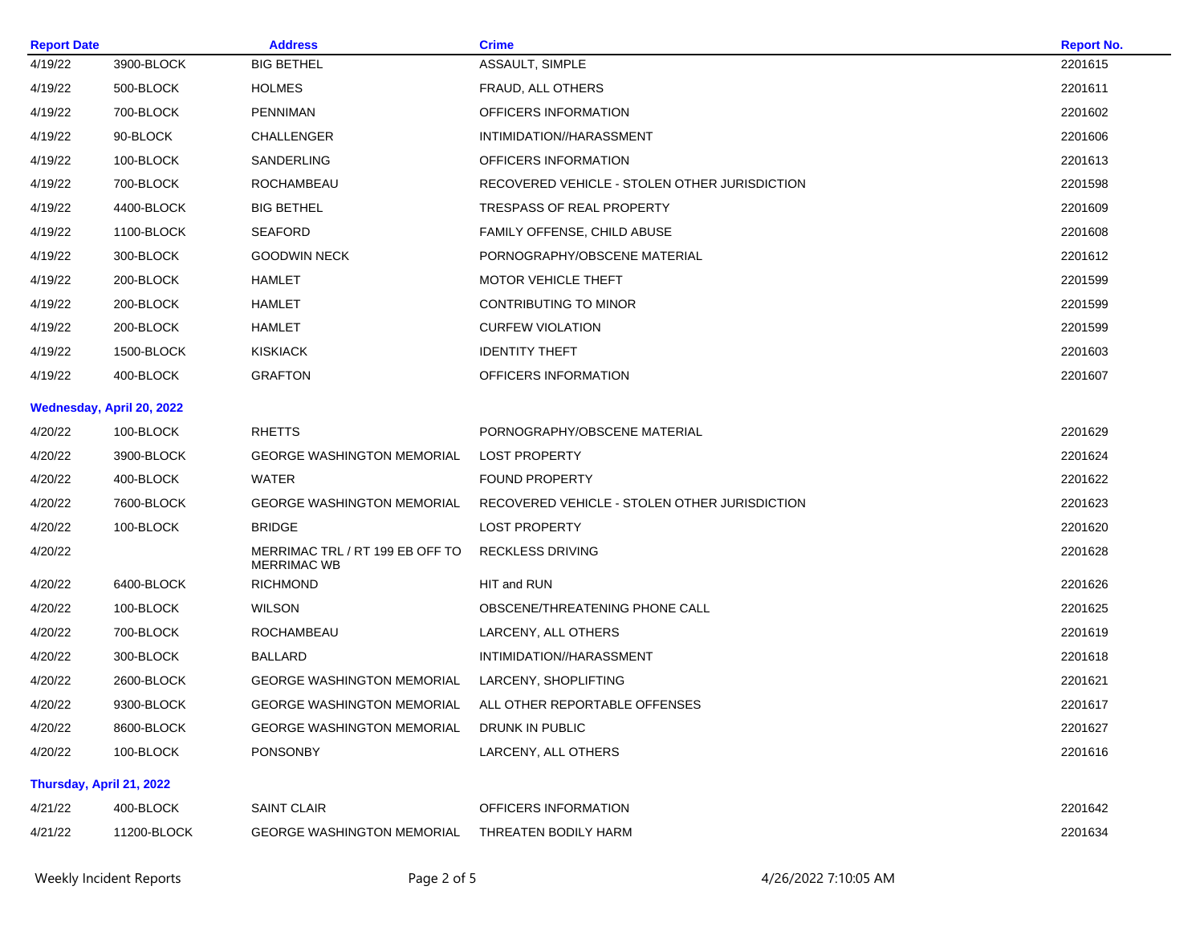| <b>Report Date</b><br><b>Address</b> |                           |                                                       | <b>Crime</b>                                  | <b>Report No.</b> |
|--------------------------------------|---------------------------|-------------------------------------------------------|-----------------------------------------------|-------------------|
| 4/19/22                              | 3900-BLOCK                | <b>BIG BETHEL</b>                                     | ASSAULT, SIMPLE                               | 2201615           |
| 4/19/22                              | 500-BLOCK                 | <b>HOLMES</b>                                         | FRAUD, ALL OTHERS                             | 2201611           |
| 4/19/22                              | 700-BLOCK                 | <b>PENNIMAN</b>                                       | OFFICERS INFORMATION                          | 2201602           |
| 4/19/22                              | 90-BLOCK                  | CHALLENGER                                            | INTIMIDATION//HARASSMENT                      | 2201606           |
| 4/19/22                              | 100-BLOCK                 | SANDERLING                                            | OFFICERS INFORMATION                          | 2201613           |
| 4/19/22                              | 700-BLOCK                 | ROCHAMBEAU                                            | RECOVERED VEHICLE - STOLEN OTHER JURISDICTION | 2201598           |
| 4/19/22                              | 4400-BLOCK                | <b>BIG BETHEL</b>                                     | <b>TRESPASS OF REAL PROPERTY</b>              | 2201609           |
| 4/19/22                              | 1100-BLOCK                | <b>SEAFORD</b>                                        | FAMILY OFFENSE, CHILD ABUSE                   | 2201608           |
| 4/19/22                              | 300-BLOCK                 | <b>GOODWIN NECK</b>                                   | PORNOGRAPHY/OBSCENE MATERIAL                  | 2201612           |
| 4/19/22                              | 200-BLOCK                 | HAMLET                                                | MOTOR VEHICLE THEFT                           | 2201599           |
| 4/19/22                              | 200-BLOCK                 | <b>HAMLET</b>                                         | CONTRIBUTING TO MINOR                         | 2201599           |
| 4/19/22                              | 200-BLOCK                 | <b>HAMLET</b>                                         | <b>CURFEW VIOLATION</b>                       | 2201599           |
| 4/19/22                              | 1500-BLOCK                | <b>KISKIACK</b>                                       | <b>IDENTITY THEFT</b>                         | 2201603           |
| 4/19/22                              | 400-BLOCK                 | <b>GRAFTON</b>                                        | OFFICERS INFORMATION                          | 2201607           |
|                                      | Wednesday, April 20, 2022 |                                                       |                                               |                   |
| 4/20/22                              | 100-BLOCK                 | <b>RHETTS</b>                                         | PORNOGRAPHY/OBSCENE MATERIAL                  | 2201629           |
| 4/20/22                              | 3900-BLOCK                | <b>GEORGE WASHINGTON MEMORIAL</b>                     | <b>LOST PROPERTY</b>                          | 2201624           |
| 4/20/22                              | 400-BLOCK                 | <b>WATER</b>                                          | <b>FOUND PROPERTY</b>                         | 2201622           |
| 4/20/22                              | 7600-BLOCK                | <b>GEORGE WASHINGTON MEMORIAL</b>                     | RECOVERED VEHICLE - STOLEN OTHER JURISDICTION | 2201623           |
| 4/20/22                              | 100-BLOCK                 | <b>BRIDGE</b>                                         | <b>LOST PROPERTY</b>                          | 2201620           |
| 4/20/22                              |                           | MERRIMAC TRL / RT 199 EB OFF TO<br><b>MERRIMAC WB</b> | <b>RECKLESS DRIVING</b>                       | 2201628           |
| 4/20/22                              | 6400-BLOCK                | <b>RICHMOND</b>                                       | HIT and RUN                                   | 2201626           |
| 4/20/22                              | 100-BLOCK                 | <b>WILSON</b>                                         | OBSCENE/THREATENING PHONE CALL                | 2201625           |
| 4/20/22                              | 700-BLOCK                 | ROCHAMBEAU                                            | LARCENY, ALL OTHERS                           | 2201619           |
| 4/20/22                              | 300-BLOCK                 | <b>BALLARD</b>                                        | INTIMIDATION//HARASSMENT                      | 2201618           |
| 4/20/22                              | 2600-BLOCK                | <b>GEORGE WASHINGTON MEMORIAL</b>                     | LARCENY, SHOPLIFTING                          | 2201621           |
| 4/20/22                              | 9300-BLOCK                | GEORGE WASHINGTON MEMORIAL                            | ALL OTHER REPORTABLE OFFENSES                 | 2201617           |
| 4/20/22                              | 8600-BLOCK                | <b>GEORGE WASHINGTON MEMORIAL</b>                     | DRUNK IN PUBLIC                               | 2201627           |
| 4/20/22                              | 100-BLOCK                 | PONSONBY                                              | LARCENY, ALL OTHERS                           | 2201616           |
| Thursday, April 21, 2022             |                           |                                                       |                                               |                   |
| 4/21/22                              | 400-BLOCK                 | <b>SAINT CLAIR</b>                                    | OFFICERS INFORMATION                          | 2201642           |
| 4/21/22                              | 11200-BLOCK               | <b>GEORGE WASHINGTON MEMORIAL</b>                     | THREATEN BODILY HARM                          | 2201634           |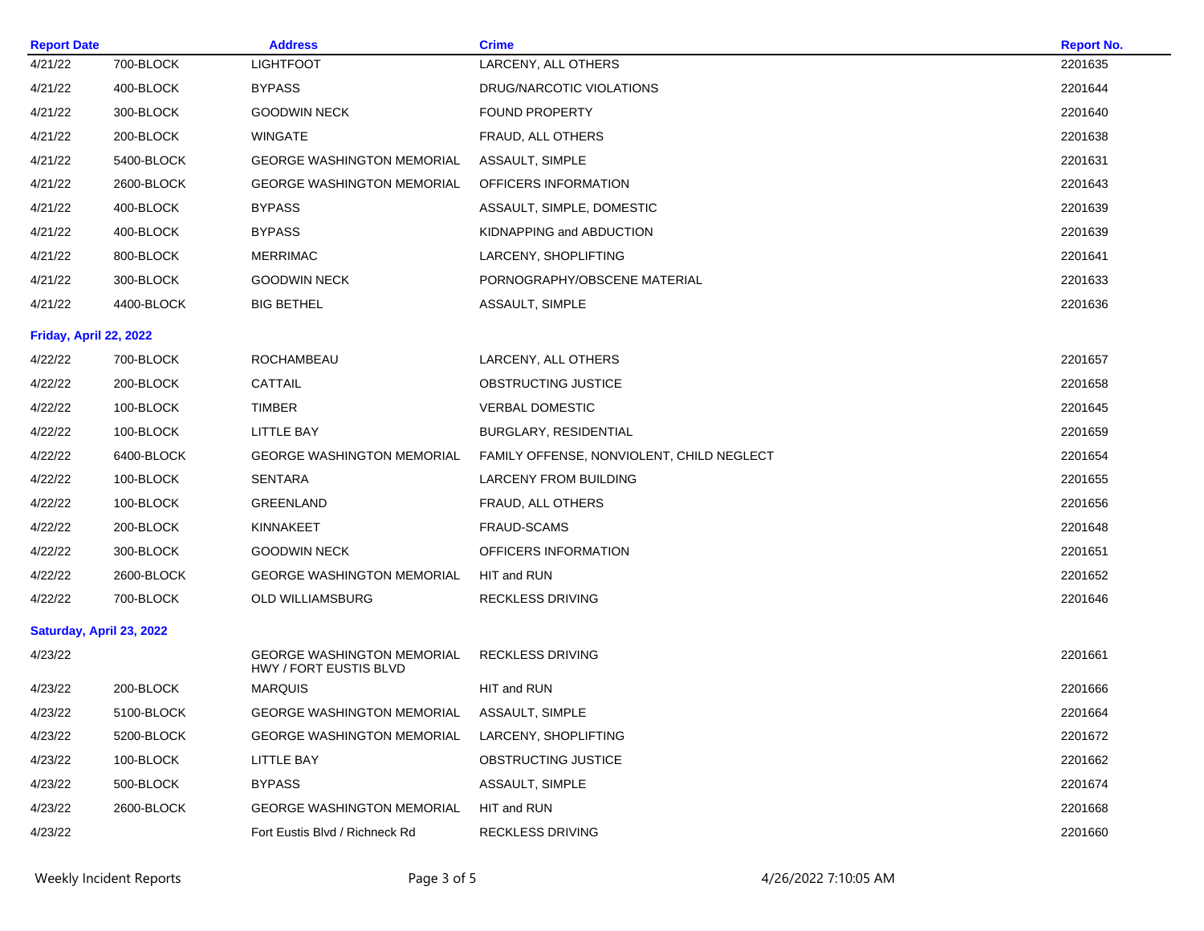| <b>Report Date</b>       |            | <b>Address</b>                                              | <b>Crime</b>                              | <b>Report No.</b> |
|--------------------------|------------|-------------------------------------------------------------|-------------------------------------------|-------------------|
| 4/21/22                  | 700-BLOCK  | <b>LIGHTFOOT</b>                                            | LARCENY, ALL OTHERS                       | 2201635           |
| 4/21/22                  | 400-BLOCK  | <b>BYPASS</b>                                               | DRUG/NARCOTIC VIOLATIONS                  | 2201644           |
| 4/21/22                  | 300-BLOCK  | GOODWIN NECK                                                | <b>FOUND PROPERTY</b>                     | 2201640           |
| 4/21/22                  | 200-BLOCK  | <b>WINGATE</b>                                              | FRAUD, ALL OTHERS                         | 2201638           |
| 4/21/22                  | 5400-BLOCK | <b>GEORGE WASHINGTON MEMORIAL</b>                           | ASSAULT, SIMPLE                           | 2201631           |
| 4/21/22                  | 2600-BLOCK | <b>GEORGE WASHINGTON MEMORIAL</b>                           | OFFICERS INFORMATION                      | 2201643           |
| 4/21/22                  | 400-BLOCK  | <b>BYPASS</b>                                               | ASSAULT, SIMPLE, DOMESTIC                 | 2201639           |
| 4/21/22                  | 400-BLOCK  | <b>BYPASS</b>                                               | KIDNAPPING and ABDUCTION                  | 2201639           |
| 4/21/22                  | 800-BLOCK  | <b>MERRIMAC</b>                                             | LARCENY, SHOPLIFTING                      | 2201641           |
| 4/21/22                  | 300-BLOCK  | <b>GOODWIN NECK</b>                                         | PORNOGRAPHY/OBSCENE MATERIAL              | 2201633           |
| 4/21/22                  | 4400-BLOCK | BIG BETHEL                                                  | ASSAULT, SIMPLE                           | 2201636           |
| Friday, April 22, 2022   |            |                                                             |                                           |                   |
| 4/22/22                  | 700-BLOCK  | ROCHAMBEAU                                                  | LARCENY, ALL OTHERS                       | 2201657           |
| 4/22/22                  | 200-BLOCK  | <b>CATTAIL</b>                                              | OBSTRUCTING JUSTICE                       | 2201658           |
| 4/22/22                  | 100-BLOCK  | TIMBER                                                      | <b>VERBAL DOMESTIC</b>                    | 2201645           |
| 4/22/22                  | 100-BLOCK  | LITTLE BAY                                                  | <b>BURGLARY, RESIDENTIAL</b>              | 2201659           |
| 4/22/22                  | 6400-BLOCK | <b>GEORGE WASHINGTON MEMORIAL</b>                           | FAMILY OFFENSE, NONVIOLENT, CHILD NEGLECT | 2201654           |
| 4/22/22                  | 100-BLOCK  | <b>SENTARA</b>                                              | <b>LARCENY FROM BUILDING</b>              | 2201655           |
| 4/22/22                  | 100-BLOCK  | GREENLAND                                                   | FRAUD, ALL OTHERS                         | 2201656           |
| 4/22/22                  | 200-BLOCK  | KINNAKEET                                                   | FRAUD-SCAMS                               | 2201648           |
| 4/22/22                  | 300-BLOCK  | <b>GOODWIN NECK</b>                                         | OFFICERS INFORMATION                      | 2201651           |
| 4/22/22                  | 2600-BLOCK | <b>GEORGE WASHINGTON MEMORIAL</b>                           | HIT and RUN                               | 2201652           |
| 4/22/22                  | 700-BLOCK  | OLD WILLIAMSBURG                                            | <b>RECKLESS DRIVING</b>                   | 2201646           |
| Saturday, April 23, 2022 |            |                                                             |                                           |                   |
| 4/23/22                  |            | <b>GEORGE WASHINGTON MEMORIAL</b><br>HWY / FORT EUSTIS BLVD | <b>RECKLESS DRIVING</b>                   | 2201661           |
| 4/23/22                  | 200-BLOCK  | <b>MARQUIS</b>                                              | HIT and RUN                               | 2201666           |
| 4/23/22                  | 5100-BLOCK | <b>GEORGE WASHINGTON MEMORIAL</b>                           | ASSAULT, SIMPLE                           | 2201664           |
| 4/23/22                  | 5200-BLOCK | <b>GEORGE WASHINGTON MEMORIAL</b>                           | LARCENY, SHOPLIFTING                      | 2201672           |
| 4/23/22                  | 100-BLOCK  | LITTLE BAY                                                  | <b>OBSTRUCTING JUSTICE</b>                | 2201662           |
| 4/23/22                  | 500-BLOCK  | <b>BYPASS</b>                                               | ASSAULT, SIMPLE                           | 2201674           |
| 4/23/22                  | 2600-BLOCK | <b>GEORGE WASHINGTON MEMORIAL</b>                           | HIT and RUN                               | 2201668           |
| 4/23/22                  |            | Fort Eustis Blvd / Richneck Rd                              | <b>RECKLESS DRIVING</b>                   | 2201660           |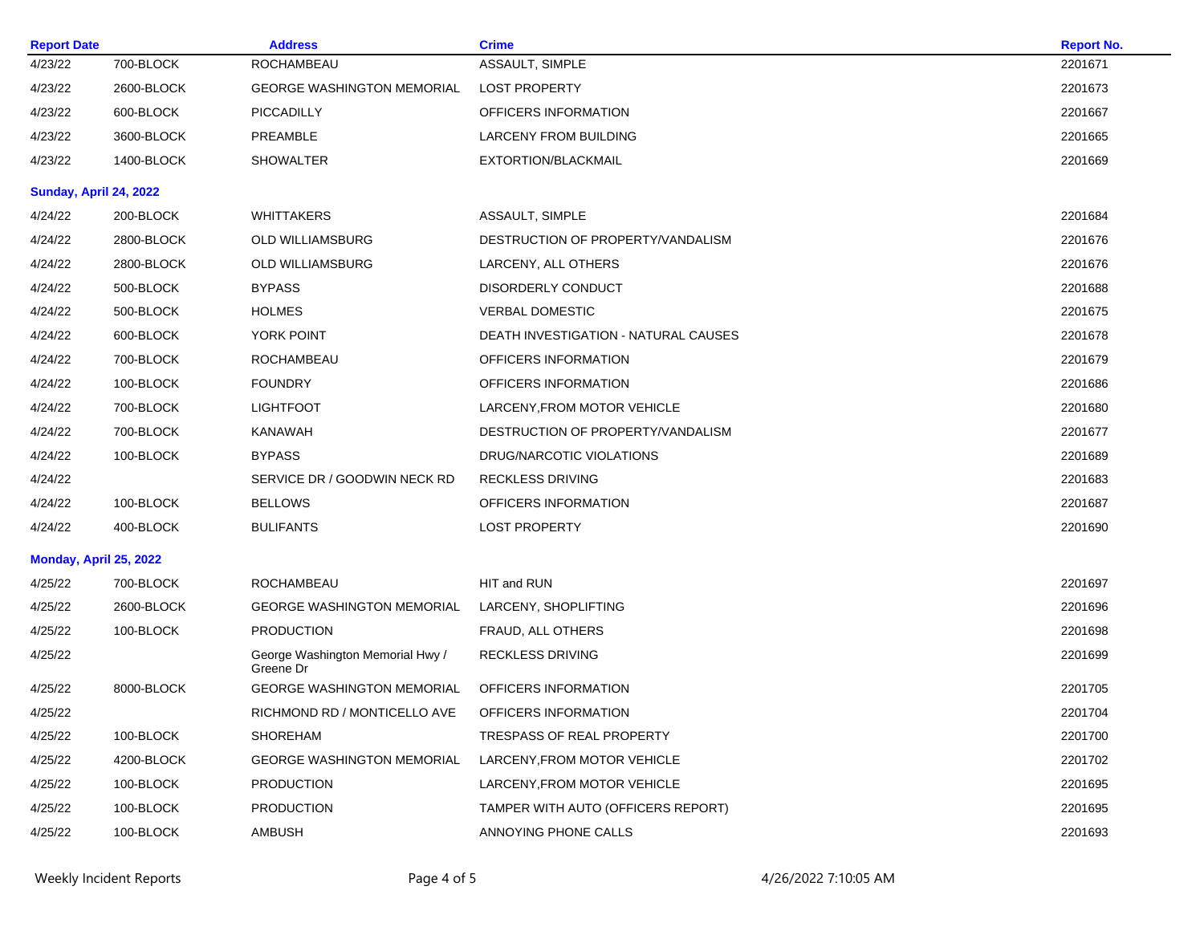| <b>Report Date</b>     |            | <b>Address</b>                                | <b>Crime</b>                         | <b>Report No.</b> |
|------------------------|------------|-----------------------------------------------|--------------------------------------|-------------------|
| 4/23/22                | 700-BLOCK  | ROCHAMBEAU                                    | ASSAULT, SIMPLE                      | 2201671           |
| 4/23/22                | 2600-BLOCK | <b>GEORGE WASHINGTON MEMORIAL</b>             | <b>LOST PROPERTY</b>                 | 2201673           |
| 4/23/22                | 600-BLOCK  | <b>PICCADILLY</b>                             | OFFICERS INFORMATION                 | 2201667           |
| 4/23/22                | 3600-BLOCK | PREAMBLE                                      | LARCENY FROM BUILDING                | 2201665           |
| 4/23/22                | 1400-BLOCK | <b>SHOWALTER</b>                              | EXTORTION/BLACKMAIL                  | 2201669           |
| Sunday, April 24, 2022 |            |                                               |                                      |                   |
| 4/24/22                | 200-BLOCK  | <b>WHITTAKERS</b>                             | ASSAULT, SIMPLE                      | 2201684           |
| 4/24/22                | 2800-BLOCK | <b>OLD WILLIAMSBURG</b>                       | DESTRUCTION OF PROPERTY/VANDALISM    | 2201676           |
| 4/24/22                | 2800-BLOCK | OLD WILLIAMSBURG                              | LARCENY, ALL OTHERS                  | 2201676           |
| 4/24/22                | 500-BLOCK  | <b>BYPASS</b>                                 | DISORDERLY CONDUCT                   | 2201688           |
| 4/24/22                | 500-BLOCK  | <b>HOLMES</b>                                 | <b>VERBAL DOMESTIC</b>               | 2201675           |
| 4/24/22                | 600-BLOCK  | YORK POINT                                    | DEATH INVESTIGATION - NATURAL CAUSES | 2201678           |
| 4/24/22                | 700-BLOCK  | <b>ROCHAMBEAU</b>                             | OFFICERS INFORMATION                 | 2201679           |
| 4/24/22                | 100-BLOCK  | <b>FOUNDRY</b>                                | OFFICERS INFORMATION                 | 2201686           |
| 4/24/22                | 700-BLOCK  | <b>LIGHTFOOT</b>                              | LARCENY,FROM MOTOR VEHICLE           | 2201680           |
| 4/24/22                | 700-BLOCK  | <b>KANAWAH</b>                                | DESTRUCTION OF PROPERTY/VANDALISM    | 2201677           |
| 4/24/22                | 100-BLOCK  | <b>BYPASS</b>                                 | DRUG/NARCOTIC VIOLATIONS             | 2201689           |
| 4/24/22                |            | SERVICE DR / GOODWIN NECK RD                  | <b>RECKLESS DRIVING</b>              | 2201683           |
| 4/24/22                | 100-BLOCK  | <b>BELLOWS</b>                                | OFFICERS INFORMATION                 | 2201687           |
| 4/24/22                | 400-BLOCK  | <b>BULIFANTS</b>                              | <b>LOST PROPERTY</b>                 | 2201690           |
| Monday, April 25, 2022 |            |                                               |                                      |                   |
| 4/25/22                | 700-BLOCK  | ROCHAMBEAU                                    | HIT and RUN                          | 2201697           |
| 4/25/22                | 2600-BLOCK | <b>GEORGE WASHINGTON MEMORIAL</b>             | LARCENY, SHOPLIFTING                 | 2201696           |
| 4/25/22                | 100-BLOCK  | <b>PRODUCTION</b>                             | FRAUD, ALL OTHERS                    | 2201698           |
| 4/25/22                |            | George Washington Memorial Hwy /<br>Greene Dr | <b>RECKLESS DRIVING</b>              | 2201699           |
| 4/25/22                | 8000-BLOCK | <b>GEORGE WASHINGTON MEMORIAL</b>             | OFFICERS INFORMATION                 | 2201705           |
| 4/25/22                |            | RICHMOND RD / MONTICELLO AVE                  | OFFICERS INFORMATION                 | 2201704           |
| 4/25/22                | 100-BLOCK  | <b>SHOREHAM</b>                               | TRESPASS OF REAL PROPERTY            | 2201700           |
| 4/25/22                | 4200-BLOCK | <b>GEORGE WASHINGTON MEMORIAL</b>             | <b>LARCENY.FROM MOTOR VEHICLE</b>    | 2201702           |
| 4/25/22                | 100-BLOCK  | <b>PRODUCTION</b>                             | LARCENY, FROM MOTOR VEHICLE          | 2201695           |
| 4/25/22                | 100-BLOCK  | <b>PRODUCTION</b>                             | TAMPER WITH AUTO (OFFICERS REPORT)   | 2201695           |
| 4/25/22                | 100-BLOCK  | AMBUSH                                        | ANNOYING PHONE CALLS                 | 2201693           |
|                        |            |                                               |                                      |                   |